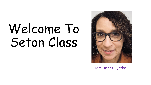# Welcome To Seton Class



Mrs. Janet Ryczko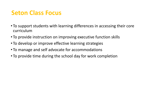## **Seton Class Focus**

- To support students with learning differences in accessing their core curriculum
- To provide instruction on improving executive function skills
- To develop or improve effective learning strategies
- To manage and self advocate for accommodations
- To provide time during the school day for work completion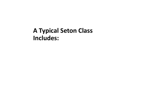## **A Typical Seton Class Includes:**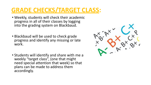## **GRADE CHECKS/TARGET CLASS:**

- Weekly, students will check their academic progress in all of their classes by logging into the grading system on Blackbaud.
- Blackbaud will be used to check grade progress and identify any missing or late work.
- Students will identify and share with me a weekly "target class", (one that might need special attention that week) so that plans can be made to address them accordingly.

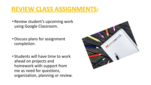## **REVIEW CLASS ASSIGNMENTS:**

- Review student's upcoming work using Google Classroom.
- •Discuss plans for assignment completion.
- Students will have time to work ahead on projects and homework with support from me as need for questions, organization, planning or review.

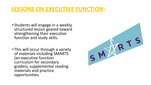### **LESSONS ON EXECUTIVE FUNCTION:**

- Students will engage in a weekly structured lesson geared toward strengthening their executive function and study skills.
- This will occur through a variety of materials including SMARTS (an executive function curriculum for secondary grades), supplemental reading materials and practice opportunities.

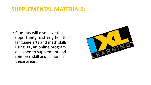#### **SUPPLEMENTAL MATERIALS:**

• Students will also have the opportunity to strengthen their language arts and math skills using IXL, an online program designed to supplement and reinforce skill acquisition in these areas.

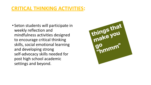#### **CRITICAL THINKING ACTIVITIES:**

• Seton students will participate in weekly reflection and mindfulness activities designed to encourage critical thinking skills, social emotional learning and developing strong self-advocacy skills needed for post high school academic settings and beyond.